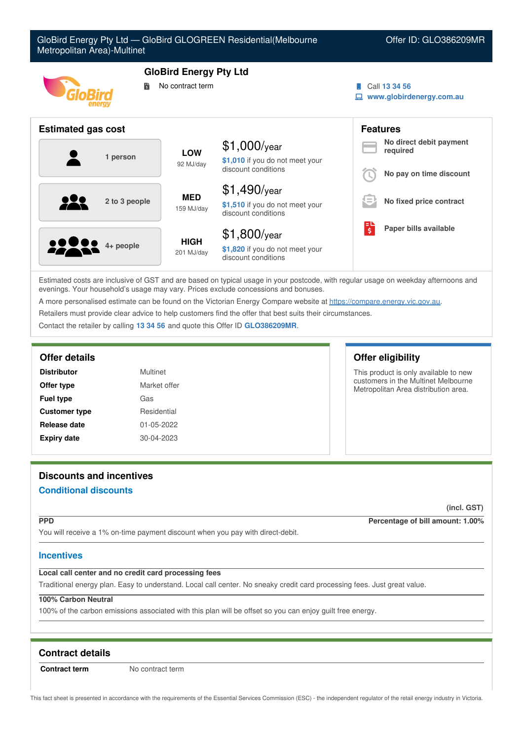| GloBird Energy Pty Ltd - GloBird GLOGREEN Residential(Melbourne<br>Offer ID: GLO386209MR<br>Metropolitan Area)-Multinet |                                                   |                                                        |  |                                           |
|-------------------------------------------------------------------------------------------------------------------------|---------------------------------------------------|--------------------------------------------------------|--|-------------------------------------------|
| 鬜                                                                                                                       | <b>GloBird Energy Pty Ltd</b><br>No contract term |                                                        |  | Call 13 34 56<br>www.globirdenergy.com.au |
| <b>Estimated gas cost</b>                                                                                               |                                                   |                                                        |  | <b>Features</b>                           |
|                                                                                                                         | <b>LOW</b>                                        | $$1,000$ /year                                         |  | No direct debit payment<br>required       |
| 1 person                                                                                                                | 92 MJ/day                                         | \$1,010 if you do not meet your<br>discount conditions |  | No pay on time discount                   |
|                                                                                                                         | <b>MED</b>                                        | $$1,490$ /year                                         |  |                                           |
| 2 to 3 people                                                                                                           | 159 MJ/day                                        | \$1,510 if you do not meet your<br>discount conditions |  | No fixed price contract                   |
|                                                                                                                         |                                                   | $$1,800$ /year                                         |  | Paper bills available                     |
| 4+ people                                                                                                               | <b>HIGH</b><br>201 MJ/day                         | \$1,820 if you do not meet your<br>discount conditions |  |                                           |

Estimated costs are inclusive of GST and are based on typical usage in your postcode, with regular usage on weekday afternoons and evenings. Your household's usage may vary. Prices exclude concessions and bonuses.

A more personalised estimate can be found on the Victorian Energy Compare website at <https://compare.energy.vic.gov.au>.

Retailers must provide clear advice to help customers find the offer that best suits their circumstances.

Contact the retailer by calling **13 34 56** and quote this Offer ID **GLO386209MR**.

#### **Offer details Offer eligibility**

| <b>Distributor</b>   | Multinet     |
|----------------------|--------------|
| Offer type           | Market offer |
| <b>Fuel type</b>     | Gas          |
| <b>Customer type</b> | Residential  |
| Release date         | 01-05-2022   |
| <b>Expiry date</b>   | 30-04-2023   |

This product is only available to new customers in the Multinet Melbourne Metropolitan Area distribution area.

# **Discounts and incentives**

# **Conditional discounts**

**(incl. GST)**

**PPD Percentage of bill amount: 1.00%**

You will receive a 1% on-time payment discount when you pay with direct-debit.

# **Incentives**

# **Local call center and no credit card processing fees**

Traditional energy plan. Easy to understand. Local call center. No sneaky credit card processing fees. Just great value.

# **100% Carbon Neutral**

100% of the carbon emissions associated with this plan will be offset so you can enjoy guilt free energy.

# **Contract details**

**Contract term** No contract term

This fact sheet is presented in accordance with the requirements of the Essential Services Commission (ESC) - the independent regulator of the retail energy industry in Victoria.